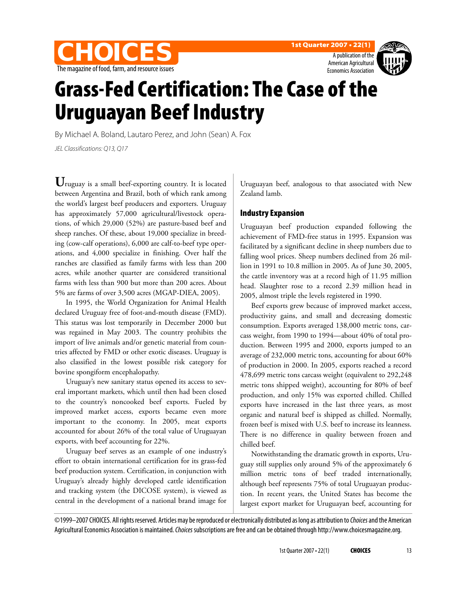





# Grass-Fed Certification: The Case of the Uruguayan Beef Industry

By Michael A. Boland, Lautaro Perez, and John (Sean) A. Fox

JEL Classifications: Q13, Q17

**U**ruguay is a small beef-exporting country. It is located between Argentina and Brazil, both of which rank among the world's largest beef producers and exporters. Uruguay has approximately 57,000 agricultural/livestock operations, of which 29,000 (52%) are pasture-based beef and sheep ranches. Of these, about 19,000 specialize in breeding (cow-calf operations), 6,000 are calf-to-beef type operations, and 4,000 specialize in finishing. Over half the ranches are classified as family farms with less than 200 acres, while another quarter are considered transitional farms with less than 900 but more than 200 acres. About 5% are farms of over 3,500 acres (MGAP-DIEA, 2005).

In 1995, the World Organization for Animal Health declared Uruguay free of foot-and-mouth disease (FMD). This status was lost temporarily in December 2000 but was regained in May 2003. The country prohibits the import of live animals and/or genetic material from countries affected by FMD or other exotic diseases. Uruguay is also classified in the lowest possible risk category for bovine spongiform encephalopathy.

Uruguay's new sanitary status opened its access to several important markets, which until then had been closed to the country's noncooked beef exports. Fueled by improved market access, exports became even more important to the economy. In 2005, meat exports accounted for about 26% of the total value of Uruguayan exports, with beef accounting for 22%.

Uruguay beef serves as an example of one industry's effort to obtain international certification for its grass-fed beef production system. Certification, in conjunction with Uruguay's already highly developed cattle identification and tracking system (the DICOSE system), is viewed as central in the development of a national brand image for

Uruguayan beef, analogous to that associated with New Zealand lamb.

## Industry Expansion

Uruguayan beef production expanded following the achievement of FMD-free status in 1995. Expansion was facilitated by a significant decline in sheep numbers due to falling wool prices. Sheep numbers declined from 26 million in 1991 to 10.8 million in 2005. As of June 30, 2005, the cattle inventory was at a record high of 11.95 million head. Slaughter rose to a record 2.39 million head in 2005, almost triple the levels registered in 1990.

Beef exports grew because of improved market access, productivity gains, and small and decreasing domestic consumption. Exports averaged 138,000 metric tons, carcass weight, from 1990 to 1994—about 40% of total production. Between 1995 and 2000, exports jumped to an average of 232,000 metric tons, accounting for about 60% of production in 2000. In 2005, exports reached a record 478,699 metric tons carcass weight (equivalent to 292,248 metric tons shipped weight), accounting for 80% of beef production, and only 15% was exported chilled. Chilled exports have increased in the last three years, as most organic and natural beef is shipped as chilled. Normally, frozen beef is mixed with U.S. beef to increase its leanness. There is no difference in quality between frozen and chilled beef.

Notwithstanding the dramatic growth in exports, Uruguay still supplies only around 5% of the approximately 6 million metric tons of beef traded internationally, although beef represents 75% of total Uruguayan production. In recent years, the United States has become the largest export market for Uruguayan beef, accounting for

©1999–2007 CHOICES. All rights reserved. Articles may be reproduced or electronically distributed as long as attribution to Choices and the American Agricultural Economics Association is maintained. Choices subscriptions are free and can be obtained through http://www.choicesmagazine.org.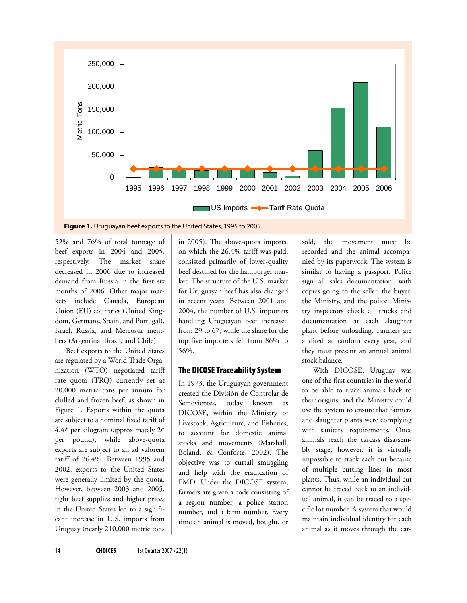

**Figure 1.** Uruguayan beef exports to the United States, 1995 to 2005.

52% and 76% of total tonnage of beef exports in 2004 and 2005, respectively. The market share decreased in 2006 due to increased demand from Russia in the first six months of 2006. Other major markets include Canada, European Union (EU) countries (United Kingdom, Germany, Spain, and Portugal), Israel, Russia, and Mercosur members (Argentina, Brazil, and Chile).

Beef exports to the United States are regulated by a World Trade Organization (WTO) negotiated tariff rate quota (TRQ) currently set at 20,000 metric tons per annum for chilled and frozen beef, as shown in Figure 1. Exports within the quota are subject to a nominal fixed tariff of 4.4¢ per kilogram (approximately 2¢ per pound), while above-quota exports are subject to an ad valorem tariff of 26.4%. Between 1995 and 2002, exports to the United States were generally limited by the quota. However, between 2003 and 2005, tight beef supplies and higher prices in the United States led to a significant increase in U.S. imports from Uruguay (nearly 210,000 metric tons

in 2005). The above-quota imports, on which the 26.4% tariff was paid, consisted primarily of lower-quality beef destined for the hamburger market. The structure of the U.S. market for Uruguayan beef has also changed in recent years. Between 2001 and 2004, the number of U.S. importers handling Uruguayan beef increased from 29 to 67, while the share for the top five importers fell from 86% to 56%.

#### The DICOSE Traceability System

In 1973, the Uruguayan government created the División de Controlar de Semovientes, today known as DICOSE, within the Ministry of Livestock, Agriculture, and Fisheries, to account for domestic animal stocks and movements (Marshall, Boland, & Conforte, 2002). The objective was to curtail smuggling and help with the eradication of FMD. Under the DICOSE system, farmers are given a code consisting of a region number, a police station number, and a farm number. Every time an animal is moved, bought, or

sold, the movement must be recorded and the animal accompanied by its paperwork. The system is similar to having a passport. Police sign all sales documentation, with copies going to the seller, the buyer, the Ministry, and the police. Ministry inspectors check all trucks and documentation at each slaughter plant before unloading. Farmers are audited at random every year, and they must present an annual animal stock balance.

With DICOSE, Uruguay was one of the first countries in the world to be able to trace animals back to their origins, and the Ministry could use the system to ensure that farmers and slaughter plants were complying with sanitary requirements. Once animals reach the carcass disassembly stage, however, it is virtually impossible to track each cut because of multiple cutting lines in most plants. Thus, while an individual cut cannot be traced back to an individual animal, it can be traced to a specific lot number. A system that would maintain individual identity for each animal as it moves through the car-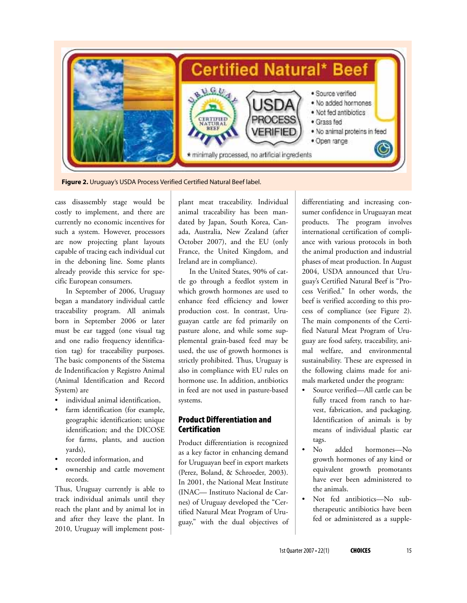

**Figure 2.** Uruguay's USDA Process Verified Certified Natural Beef label.

cass disassembly stage would be costly to implement, and there are currently no economic incentives for such a system. However, processors are now projecting plant layouts capable of tracing each individual cut in the deboning line. Some plants already provide this service for specific European consumers.

In September of 2006, Uruguay began a mandatory individual cattle traceability program. All animals born in September 2006 or later must be ear tagged (one visual tag and one radio frequency identification tag) for traceability purposes. The basic components of the Sistema de Indentificacíon y Registro Animal (Animal Identification and Record System) are

- individual animal identification,
- farm identification (for example, geographic identification; unique identification; and the DICOSE for farms, plants, and auction yards),
- recorded information, and
- ownership and cattle movement records.

Thus, Uruguay currently is able to track individual animals until they reach the plant and by animal lot in and after they leave the plant. In 2010, Uruguay will implement postplant meat traceability. Individual animal traceability has been mandated by Japan, South Korea, Canada, Australia, New Zealand (after October 2007), and the EU (only France, the United Kingdom, and Ireland are in compliance).

In the United States, 90% of cattle go through a feedlot system in which growth hormones are used to enhance feed efficiency and lower production cost. In contrast, Uruguayan cattle are fed primarily on pasture alone, and while some supplemental grain-based feed may be used, the use of growth hormones is strictly prohibited. Thus, Uruguay is also in compliance with EU rules on hormone use. In addition, antibiotics in feed are not used in pasture-based systems.

# Product Differentiation and **Certification**

Product differentiation is recognized as a key factor in enhancing demand for Uruguayan beef in export markets (Perez, Boland, & Schroeder, 2003). In 2001, the National Meat Institute (INAC— Instituto Nacional de Carnes) of Uruguay developed the "Certified Natural Meat Program of Uruguay," with the dual objectives of differentiating and increasing consumer confidence in Uruguayan meat products. The program involves international certification of compliance with various protocols in both the animal production and industrial phases of meat production. In August 2004, USDA announced that Uruguay's Certified Natural Beef is "Process Verified." In other words, the beef is verified according to this process of compliance (see Figure 2). The main components of the Certified Natural Meat Program of Uruguay are food safety, traceability, animal welfare, and environmental sustainability. These are expressed in the following claims made for animals marketed under the program:

- Source verified—All cattle can be fully traced from ranch to harvest, fabrication, and packaging. Identification of animals is by means of individual plastic ear tags.
- No added hormones—No growth hormones of any kind or equivalent growth promotants have ever been administered to the animals.
- Not fed antibiotics—No subtherapeutic antibiotics have been fed or administered as a supple-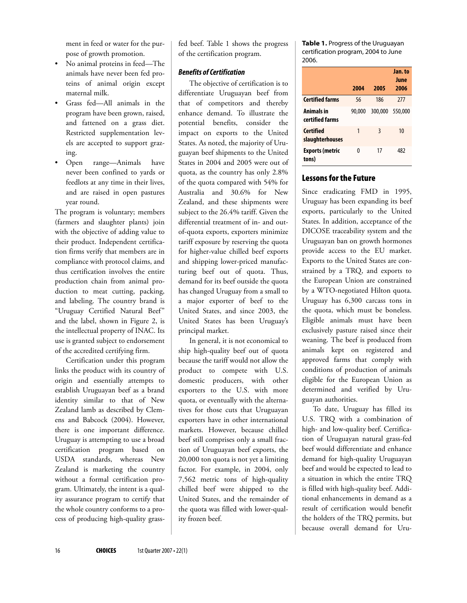ment in feed or water for the purpose of growth promotion.

- No animal proteins in feed—The animals have never been fed proteins of animal origin except maternal milk.
- Grass fed—All animals in the program have been grown, raised, and fattened on a grass diet. Restricted supplementation levels are accepted to support grazing.
- Open range—Animals have never been confined to yards or feedlots at any time in their lives, and are raised in open pastures year round.

The program is voluntary; members (farmers and slaughter plants) join with the objective of adding value to their product. Independent certification firms verify that members are in compliance with protocol claims, and thus certification involves the entire production chain from animal production to meat cutting, packing, and labeling. The country brand is "Uruguay Certified Natural Beef" and the label, shown in Figure 2, is the intellectual property of INAC. Its use is granted subject to endorsement of the accredited certifying firm.

Certification under this program links the product with its country of origin and essentially attempts to establish Uruguayan beef as a brand identity similar to that of New Zealand lamb as described by Clemens and Babcock (2004). However, there is one important difference. Uruguay is attempting to use a broad certification program based on USDA standards, whereas New Zealand is marketing the country without a formal certification program. Ultimately, the intent is a quality assurance program to certify that the whole country conforms to a process of producing high-quality grassfed beef. Table 1 shows the progress of the certification program.

### **Benefits of Certification**

The objective of certification is to differentiate Uruguayan beef from that of competitors and thereby enhance demand. To illustrate the potential benefits, consider the impact on exports to the United States. As noted, the majority of Uruguayan beef shipments to the United States in 2004 and 2005 were out of quota, as the country has only 2.8% of the quota compared with 54% for Australia and 30.6% for New Zealand, and these shipments were subject to the 26.4% tariff. Given the differential treatment of in- and outof-quota exports, exporters minimize tariff exposure by reserving the quota for higher-value chilled beef exports and shipping lower-priced manufacturing beef out of quota. Thus, demand for its beef outside the quota has changed Uruguay from a small to a major exporter of beef to the United States, and since 2003, the United States has been Uruguay's principal market.

In general, it is not economical to ship high-quality beef out of quota because the tariff would not allow the product to compete with U.S. domestic producers, with other exporters to the U.S. with more quota, or eventually with the alternatives for those cuts that Uruguayan exporters have in other international markets. However, because chilled beef still comprises only a small fraction of Uruguayan beef exports, the 20,000 ton quota is not yet a limiting factor. For example, in 2004, only 7,562 metric tons of high-quality chilled beef were shipped to the United States, and the remainder of the quota was filled with lower-quality frozen beef.

**Table 1.** Progress of the Uruguayan certification program, 2004 to June 2006.

|                                 | 2004   | 2005    | Jan. to<br>June<br>2006 |
|---------------------------------|--------|---------|-------------------------|
| <b>Certified farms</b>          | 56     | 186     | <b>277</b>              |
| Animals in<br>certified farms   | 90.000 | 300,000 | 550,000                 |
| Certified<br>slaughterhouses    | 1      | 3       | 10                      |
| <b>Exports (metric</b><br>tons) | 0      | 17      | 482                     |

## Lessons for the Future

Since eradicating FMD in 1995, Uruguay has been expanding its beef exports, particularly to the United States. In addition, acceptance of the DICOSE traceability system and the Uruguayan ban on growth hormones provide access to the EU market. Exports to the United States are constrained by a TRQ, and exports to the European Union are constrained by a WTO-negotiated Hilton quota. Uruguay has 6,300 carcass tons in the quota, which must be boneless. Eligible animals must have been exclusively pasture raised since their weaning. The beef is produced from animals kept on registered and approved farms that comply with conditions of production of animals eligible for the European Union as determined and verified by Uruguayan authorities.

To date, Uruguay has filled its U.S. TRQ with a combination of high- and low-quality beef. Certification of Uruguayan natural grass-fed beef would differentiate and enhance demand for high-quality Uruguayan beef and would be expected to lead to a situation in which the entire TRQ is filled with high-quality beef. Additional enhancements in demand as a result of certification would benefit the holders of the TRQ permits, but because overall demand for Uru